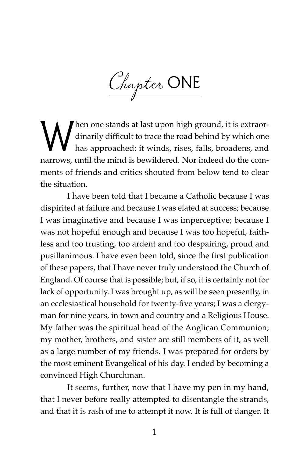Chapter ONE

When one stands at last upon high ground, it is extraor-<br>dinarily difficult to trace the road behind by which one<br>has approached: it winds, rises, falls, broadens, and dinarily difficult to trace the road behind by which one has approached: it winds, rises, falls, broadens, and narrows, until the mind is bewildered. Nor indeed do the comments of friends and critics shouted from below tend to clear the situation.

I have been told that I became a Catholic because I was dispirited at failure and because I was elated at success; because I was imaginative and because I was imperceptive; because I was not hopeful enough and because I was too hopeful, faithless and too trusting, too ardent and too despairing, proud and pusillanimous. I have even been told, since the first publication of these papers, that I have never truly understood the Church of England. Of course that is possible; but, if so, it is certainly not for lack of opportunity. I was brought up, as will be seen presently, in an ecclesiastical household for twenty-five years; I was a clergyman for nine years, in town and country and a Religious House. My father was the spiritual head of the Anglican Communion; my mother, brothers, and sister are still members of it, as well as a large number of my friends. I was prepared for orders by the most eminent Evangelical of his day. I ended by becoming a convinced High Churchman.

It seems, further, now that I have my pen in my hand, that I never before really attempted to disentangle the strands, and that it is rash of me to attempt it now. It is full of danger. It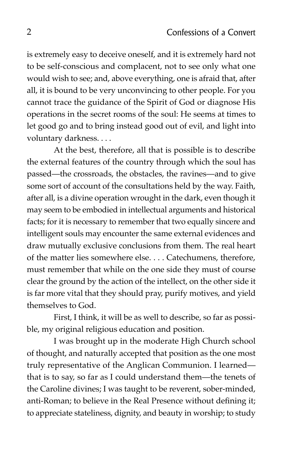is extremely easy to deceive oneself, and it is extremely hard not to be self-conscious and complacent, not to see only what one would wish to see; and, above everything, one is afraid that, after all, it is bound to be very unconvincing to other people. For you cannot trace the guidance of the Spirit of God or diagnose His operations in the secret rooms of the soul: He seems at times to let good go and to bring instead good out of evil, and light into voluntary darkness. . . .

At the best, therefore, all that is possible is to describe the external features of the country through which the soul has passed—the crossroads, the obstacles, the ravines—and to give some sort of account of the consultations held by the way. Faith, after all, is a divine operation wrought in the dark, even though it may seem to be embodied in intellectual arguments and historical facts; for it is necessary to remember that two equally sincere and intelligent souls may encounter the same external evidences and draw mutually exclusive conclusions from them. The real heart of the matter lies somewhere else. . . . Catechumens, therefore, must remember that while on the one side they must of course clear the ground by the action of the intellect, on the other side it is far more vital that they should pray, purify motives, and yield themselves to God.

First, I think, it will be as well to describe, so far as possible, my original religious education and position.

I was brought up in the moderate High Church school of thought, and naturally accepted that position as the one most truly representative of the Anglican Communion. I learned that is to say, so far as I could understand them—the tenets of the Caroline divines; I was taught to be reverent, sober-minded, anti-Roman; to believe in the Real Presence without defining it; to appreciate stateliness, dignity, and beauty in worship; to study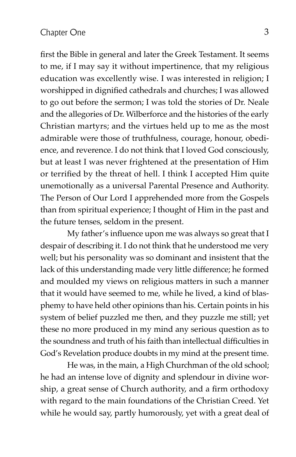## Chapter One 3

first the Bible in general and later the Greek Testament. It seems to me, if I may say it without impertinence, that my religious education was excellently wise. I was interested in religion; I worshipped in dignified cathedrals and churches; I was allowed to go out before the sermon; I was told the stories of Dr. Neale and the allegories of Dr. Wilberforce and the histories of the early Christian martyrs; and the virtues held up to me as the most admirable were those of truthfulness, courage, honour, obedience, and reverence. I do not think that I loved God consciously, but at least I was never frightened at the presentation of Him or terrified by the threat of hell. I think I accepted Him quite unemotionally as a universal Parental Presence and Authority. The Person of Our Lord I apprehended more from the Gospels than from spiritual experience; I thought of Him in the past and the future tenses, seldom in the present.

My father's influence upon me was always so great that I despair of describing it. I do not think that he understood me very well; but his personality was so dominant and insistent that the lack of this understanding made very little difference; he formed and moulded my views on religious matters in such a manner that it would have seemed to me, while he lived, a kind of blasphemy to have held other opinions than his. Certain points in his system of belief puzzled me then, and they puzzle me still; yet these no more produced in my mind any serious question as to the soundness and truth of his faith than intellectual difficulties in God's Revelation produce doubts in my mind at the present time.

He was, in the main, a High Churchman of the old school; he had an intense love of dignity and splendour in divine worship, a great sense of Church authority, and a firm orthodoxy with regard to the main foundations of the Christian Creed. Yet while he would say, partly humorously, yet with a great deal of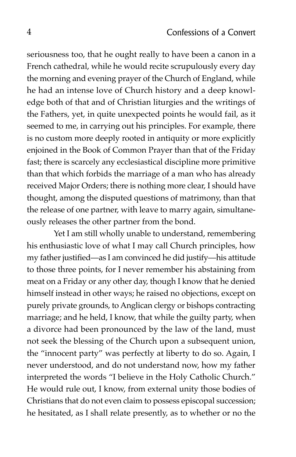seriousness too, that he ought really to have been a canon in a French cathedral, while he would recite scrupulously every day the morning and evening prayer of the Church of England, while he had an intense love of Church history and a deep knowledge both of that and of Christian liturgies and the writings of the Fathers, yet, in quite unexpected points he would fail, as it seemed to me, in carrying out his principles. For example, there is no custom more deeply rooted in antiquity or more explicitly enjoined in the Book of Common Prayer than that of the Friday fast; there is scarcely any ecclesiastical discipline more primitive than that which forbids the marriage of a man who has already received Major Orders; there is nothing more clear, I should have thought, among the disputed questions of matrimony, than that the release of one partner, with leave to marry again, simultaneously releases the other partner from the bond.

Yet I am still wholly unable to understand, remembering his enthusiastic love of what I may call Church principles, how my father justified—as I am convinced he did justify—his attitude to those three points, for I never remember his abstaining from meat on a Friday or any other day, though I know that he denied himself instead in other ways; he raised no objections, except on purely private grounds, to Anglican clergy or bishops contracting marriage; and he held, I know, that while the guilty party, when a divorce had been pronounced by the law of the land, must not seek the blessing of the Church upon a subsequent union, the "innocent party" was perfectly at liberty to do so. Again, I never understood, and do not understand now, how my father interpreted the words "I believe in the Holy Catholic Church." He would rule out, I know, from external unity those bodies of Christians that do not even claim to possess episcopal succession; he hesitated, as I shall relate presently, as to whether or no the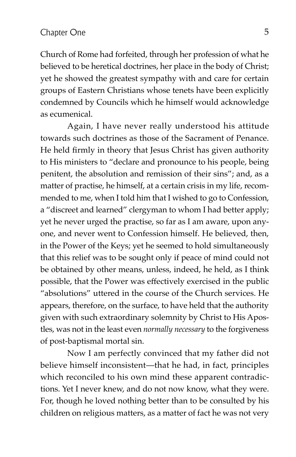## Chapter One 5

Church of Rome had forfeited, through her profession of what he believed to be heretical doctrines, her place in the body of Christ; yet he showed the greatest sympathy with and care for certain groups of Eastern Christians whose tenets have been explicitly condemned by Councils which he himself would acknowledge as ecumenical.

Again, I have never really understood his attitude towards such doctrines as those of the Sacrament of Penance. He held firmly in theory that Jesus Christ has given authority to His ministers to "declare and pronounce to his people, being penitent, the absolution and remission of their sins"; and, as a matter of practise, he himself, at a certain crisis in my life, recommended to me, when I told him that I wished to go to Confession, a "discreet and learned" clergyman to whom I had better apply; yet he never urged the practise, so far as I am aware, upon anyone, and never went to Confession himself. He believed, then, in the Power of the Keys; yet he seemed to hold simultaneously that this relief was to be sought only if peace of mind could not be obtained by other means, unless, indeed, he held, as I think possible, that the Power was effectively exercised in the public "absolutions" uttered in the course of the Church services. He appears, therefore, on the surface, to have held that the authority given with such extraordinary solemnity by Christ to His Apostles, was not in the least even *normally necessary* to the forgiveness of post-baptismal mortal sin.

Now I am perfectly convinced that my father did not believe himself inconsistent—that he had, in fact, principles which reconciled to his own mind these apparent contradictions. Yet I never knew, and do not now know, what they were. For, though he loved nothing better than to be consulted by his children on religious matters, as a matter of fact he was not very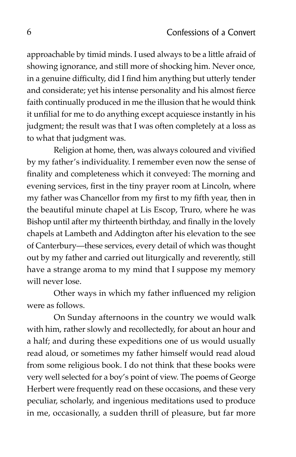approachable by timid minds. I used always to be a little afraid of showing ignorance, and still more of shocking him. Never once, in a genuine difficulty, did I find him anything but utterly tender and considerate; yet his intense personality and his almost fierce faith continually produced in me the illusion that he would think it unfilial for me to do anything except acquiesce instantly in his judgment; the result was that I was often completely at a loss as to what that judgment was.

Religion at home, then, was always coloured and vivified by my father's individuality. I remember even now the sense of finality and completeness which it conveyed: The morning and evening services, first in the tiny prayer room at Lincoln, where my father was Chancellor from my first to my fifth year, then in the beautiful minute chapel at Lis Escop, Truro, where he was Bishop until after my thirteenth birthday, and finally in the lovely chapels at Lambeth and Addington after his elevation to the see of Canterbury—these services, every detail of which was thought out by my father and carried out liturgically and reverently, still have a strange aroma to my mind that I suppose my memory will never lose.

Other ways in which my father influenced my religion were as follows.

On Sunday afternoons in the country we would walk with him, rather slowly and recollectedly, for about an hour and a half; and during these expeditions one of us would usually read aloud, or sometimes my father himself would read aloud from some religious book. I do not think that these books were very well selected for a boy's point of view. The poems of George Herbert were frequently read on these occasions, and these very peculiar, scholarly, and ingenious meditations used to produce in me, occasionally, a sudden thrill of pleasure, but far more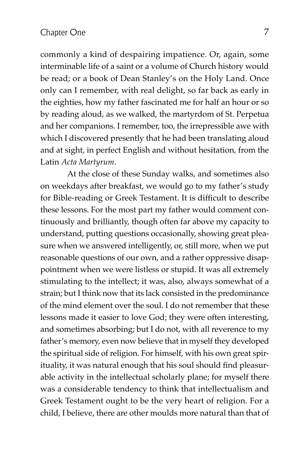commonly a kind of despairing impatience. Or, again, some interminable life of a saint or a volume of Church history would be read; or a book of Dean Stanley's on the Holy Land. Once only can I remember, with real delight, so far back as early in the eighties, how my father fascinated me for half an hour or so by reading aloud, as we walked, the martyrdom of St. Perpetua and her companions. I remember, too, the irrepressible awe with which I discovered presently that he had been translating aloud and at sight, in perfect English and without hesitation, from the Latin *Acta Martyrum*.

At the close of these Sunday walks, and sometimes also on weekdays after breakfast, we would go to my father's study for Bible-reading or Greek Testament. It is difficult to describe these lessons. For the most part my father would comment continuously and brilliantly, though often far above my capacity to understand, putting questions occasionally, showing great pleasure when we answered intelligently, or, still more, when we put reasonable questions of our own, and a rather oppressive disappointment when we were listless or stupid. It was all extremely stimulating to the intellect; it was, also, always somewhat of a strain; but I think now that its lack consisted in the predominance of the mind element over the soul. I do not remember that these lessons made it easier to love God; they were often interesting, and sometimes absorbing; but I do not, with all reverence to my father's memory, even now believe that in myself they developed the spiritual side of religion. For himself, with his own great spirituality, it was natural enough that his soul should find pleasurable activity in the intellectual scholarly plane; for myself there was a considerable tendency to think that intellectualism and Greek Testament ought to be the very heart of religion. For a child, I believe, there are other moulds more natural than that of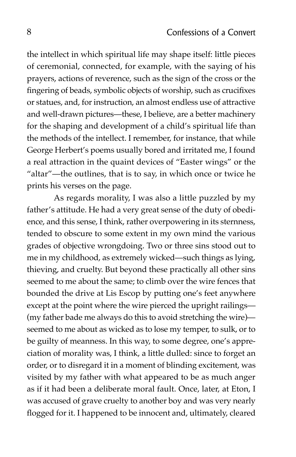the intellect in which spiritual life may shape itself: little pieces of ceremonial, connected, for example, with the saying of his prayers, actions of reverence, such as the sign of the cross or the fingering of beads, symbolic objects of worship, such as crucifixes or statues, and, for instruction, an almost endless use of attractive and well-drawn pictures—these, I believe, are a better machinery for the shaping and development of a child's spiritual life than the methods of the intellect. I remember, for instance, that while George Herbert's poems usually bored and irritated me, I found a real attraction in the quaint devices of "Easter wings" or the "altar"—the outlines, that is to say, in which once or twice he prints his verses on the page.

As regards morality, I was also a little puzzled by my father's attitude. He had a very great sense of the duty of obedience, and this sense, I think, rather overpowering in its sternness, tended to obscure to some extent in my own mind the various grades of objective wrongdoing. Two or three sins stood out to me in my childhood, as extremely wicked—such things as lying, thieving, and cruelty. But beyond these practically all other sins seemed to me about the same; to climb over the wire fences that bounded the drive at Lis Escop by putting one's feet anywhere except at the point where the wire pierced the upright railings— (my father bade me always do this to avoid stretching the wire) seemed to me about as wicked as to lose my temper, to sulk, or to be guilty of meanness. In this way, to some degree, one's appreciation of morality was, I think, a little dulled: since to forget an order, or to disregard it in a moment of blinding excitement, was visited by my father with what appeared to be as much anger as if it had been a deliberate moral fault. Once, later, at Eton, I was accused of grave cruelty to another boy and was very nearly flogged for it. I happened to be innocent and, ultimately, cleared